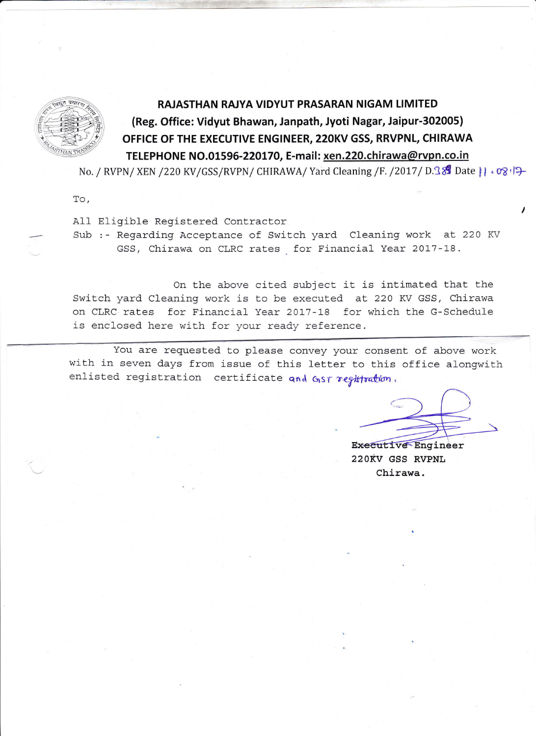

## RAJASTHAN RAJYA VIDYUT PRASARAN NIGAM LIMITED

## (Reg. Office: Vidyut Bhawan, Janpath, Jyoti Nagar, Jaipur-302005) OFFICE OF THE EXECUTIVE ENGINEER, 22OKV GSS, RRVPNL, CHIRAWA TELEPHONE NO.01596-220170, E-mail: xen.220.chirawa@rvpn.co.in

No. / RVPN/XEN /220 KV/GSS/RVPN/ CHIRAWA/ Yard Cleaning /F. /2017/ D.38 Date || + 08 | +

To,

## A11 Eligible Registered Contractor

Sub :- Regarding Acceptance of Switch yard Cleaning work at 220 KV GSS, Chirawa on CLRC rates for Financial Year 2017-18.

On the above cited subject it is intimated that. the Switch yard Cleaning work is to be executed at 220 KV GSS, Chirawa on CLRC rates for Financial Year 2017-18 for which the G-Schedule is enclosed here with for your ready reference.

You are requested to please convey your consent of above work with in seven days from issue of this 1etter to this office alongwith enlisted registration certificate and GST registration,

**Executive Engineer** 22ORV GSS RVPNL Chirawa.